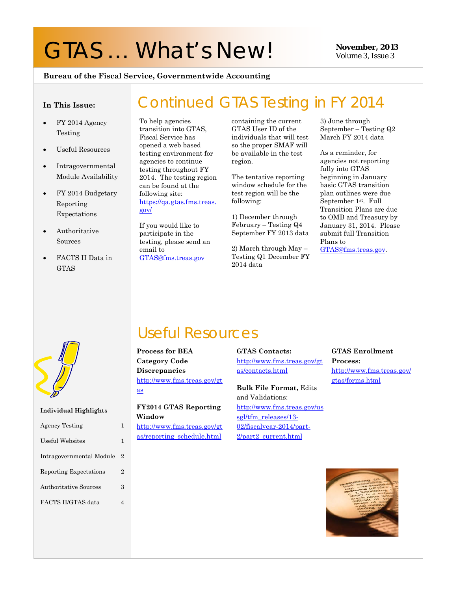# GTAS ... What's New! November, 2013

Volume 3, Issue 3

#### **Bureau of the Fiscal Service, Governmentwide Accounting**

#### **In This Issue:**

- FY 2014 Agency Testing
- Useful Resources
- Intragovernmental Module Availability
- FY 2014 Budgetary Reporting Expectations
- Authoritative Sources
- FACTS II Data in GTAS

To help agencies transition into GTAS, Fiscal Service has opened a web based testing environment for agencies to continue testing throughout FY 2014. The testing region can be found at the following site: [https://qa.gtas.fms.treas.](https://qa.gtas.fms.treas.gov/) [gov/](https://qa.gtas.fms.treas.gov/)

If you would like to participate in the testing, please send an email to [GTAS@fms.treas.gov](mailto:GTAS@fms.treas.gov)

containing the current GTAS User ID of the individuals that will test so the proper SMAF will be available in the test region.

Continued GTAS Testing in FY 2014

The tentative reporting window schedule for the test region will be the following:

1) December through February – Testing Q4 September FY 2013 data

2) March through May – Testing Q1 December FY 2014 data

3) June through September – Testing Q2 March FY 2014 data

As a reminder, for agencies not reporting fully into GTAS beginning in January basic GTAS transition plan outlines were due September 1st. Full Transition Plans are due to OMB and Treasury by January 31, 2014. Please submit full Transition Plans to GTAS@fms.treas.gov.



**Individual Highlights**

| <b>Agency Testing</b>    | 1              |
|--------------------------|----------------|
| Useful Websites          | 1              |
| Intragovernmental Module | $\overline{2}$ |
| Reporting Expectations   | $\overline{2}$ |
| Authoritative Sources    | 3              |
| FACTS II/GTAS data       | 4              |
|                          |                |
|                          |                |

## Useful Resources

**Process for BEA Category Code Discrepancies** [http://www.fms.treas.gov/gt](http://www.fms.treas.gov/gtas) [as](http://www.fms.treas.gov/gtas)

**FY2014 GTAS Reporting Window**  [http://www.fms.treas.gov/gt](http://www.fms.treas.gov/gtas/reporting_schedule.html) [as/reporting\\_schedule.html](http://www.fms.treas.gov/gtas/reporting_schedule.html)

#### **GTAS Contacts:** [http://www.fms.treas.gov/gt](http://www.fms.treas.gov/gtas/contacts.html) [as/contacts.html](http://www.fms.treas.gov/gtas/contacts.html)

**Bulk File Format,** Edits and Validations: [http://www.fms.treas.gov/us](http://www.fms.treas.gov/ussgl/tfm_releases/13-02/fiscalyear-2014/part-2/part2_current.html) [sgl/tfm\\_releases/13-](http://www.fms.treas.gov/ussgl/tfm_releases/13-02/fiscalyear-2014/part-2/part2_current.html) [02/fiscalyear-2014/part-](http://www.fms.treas.gov/ussgl/tfm_releases/13-02/fiscalyear-2014/part-2/part2_current.html)[2/part2\\_current.html](http://www.fms.treas.gov/ussgl/tfm_releases/13-02/fiscalyear-2014/part-2/part2_current.html)

#### **GTAS Enrollment Process:** [http://www.fms.treas.gov/](http://www.fms.treas.gov/gtas/forms.html) [gtas/forms.html](http://www.fms.treas.gov/gtas/forms.html)

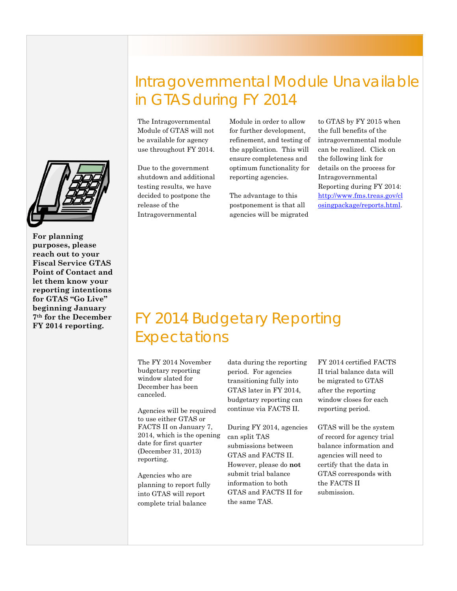**For planning purposes, please reach out to your Fiscal Service GTAS Point of Contact and let them know your reporting intentions for GTAS "Go Live" beginning January 7th for the December FY 2014 reporting.**

## Intragovernmental Module Unavailable in GTAS during FY 2014

The Intragovernmental Module of GTAS will not be available for agency use throughout FY 2014.

Due to the government shutdown and additional testing results, we have decided to postpone the release of the Intragovernmental

Module in order to allow for further development, refinement, and testing of the application. This will ensure completeness and optimum functionality for reporting agencies.

The advantage to this postponement is that all agencies will be migrated to GTAS by FY 2015 when the full benefits of the intragovernmental module can be realized. Click on the following link for details on the process for Intragovernmental Reporting during FY 2014: [http://www.fms.treas.gov/cl](http://www.fms.treas.gov/closingpackage/reports.html) [osingpackage/reports.html.](http://www.fms.treas.gov/closingpackage/reports.html)

## FY 2014 Budgetary Reporting Expectations

The FY 2014 November budgetary reporting window slated for December has been canceled.

Agencies will be required to use either GTAS or FACTS II on January 7, 2014, which is the opening date for first quarter (December 31, 2013) reporting.

Agencies who are planning to report fully into GTAS will report complete trial balance

data during the reporting period. For agencies transitioning fully into GTAS later in FY 2014, budgetary reporting can continue via FACTS II.

During FY 2014, agencies can split TAS submissions between GTAS and FACTS II. However, please do **not** submit trial balance information to both GTAS and FACTS II for the same TAS.

FY 2014 certified FACTS II trial balance data will be migrated to GTAS after the reporting window closes for each reporting period.

GTAS will be the system of record for agency trial balance information and agencies will need to certify that the data in GTAS corresponds with the FACTS II submission.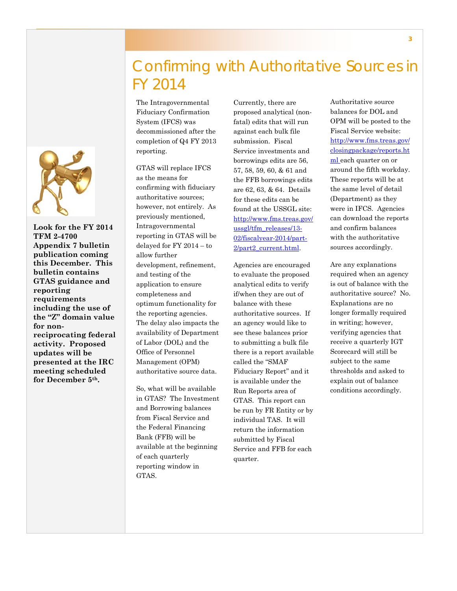

**Look for the FY 2014 TFM 2-4700 Appendix 7 bulletin publication coming this December. This bulletin contains GTAS guidance and reporting requirements including the use of the "Z" domain value for nonreciprocating federal activity. Proposed updates will be presented at the IRC meeting scheduled for December 5th.**

## Confirming with Authoritative Sources in FY 2014

The Intragovernmental Fiduciary Confirmation System (IFCS) was decommissioned after the completion of Q4 FY 2013 reporting.

GTAS will replace IFCS as the means for confirming with fiduciary authoritative sources; however, not entirely. As previously mentioned, Intragovernmental reporting in GTAS will be delayed for FY 2014 – to allow further development, refinement, and testing of the application to ensure completeness and optimum functionality for the reporting agencies. The delay also impacts the availability of Department of Labor (DOL) and the Office of Personnel Management (OPM) authoritative source data.

So, what will be available in GTAS? The Investment and Borrowing balances from Fiscal Service and the Federal Financing Bank (FFB) will be available at the beginning of each quarterly reporting window in GTAS.

Currently, there are proposed analytical (nonfatal) edits that will run against each bulk file submission. Fiscal Service investments and borrowings edits are 56, 57, 58, 59, 60, & 61 and the FFB borrowings edits are 62, 63, & 64. Details for these edits can be found at the USSGL site: [http://www.fms.treas.gov/](http://www.fms.treas.gov/ussgl/tfm_releases/13-02/fiscalyear-2014/part-2/part2_current.html) [ussgl/tfm\\_releases/13-](http://www.fms.treas.gov/ussgl/tfm_releases/13-02/fiscalyear-2014/part-2/part2_current.html) [02/fiscalyear-2014/part-](http://www.fms.treas.gov/ussgl/tfm_releases/13-02/fiscalyear-2014/part-2/part2_current.html)[2/part2\\_current.html.](http://www.fms.treas.gov/ussgl/tfm_releases/13-02/fiscalyear-2014/part-2/part2_current.html)

Agencies are encouraged to evaluate the proposed analytical edits to verify if/when they are out of balance with these authoritative sources. If an agency would like to see these balances prior to submitting a bulk file there is a report available called the "SMAF Fiduciary Report" and it is available under the Run Reports area of GTAS. This report can be run by FR Entity or by individual TAS. It will return the information submitted by Fiscal Service and FFB for each quarter.

Authoritative source balances for DOL and OPM will be posted to the Fiscal Service website: [http://www.fms.treas.gov/](http://www.fms.treas.gov/closingpackage/reports.html) [closingpackage/reports.ht](http://www.fms.treas.gov/closingpackage/reports.html) [ml](http://www.fms.treas.gov/closingpackage/reports.html) each quarter on or around the fifth workday. These reports will be at the same level of detail (Department) as they were in IFCS. Agencies can download the reports and confirm balances with the authoritative sources accordingly.

Are any explanations required when an agency is out of balance with the authoritative source? No. Explanations are no longer formally required in writing; however, verifying agencies that receive a quarterly IGT Scorecard will still be subject to the same thresholds and asked to explain out of balance conditions accordingly.